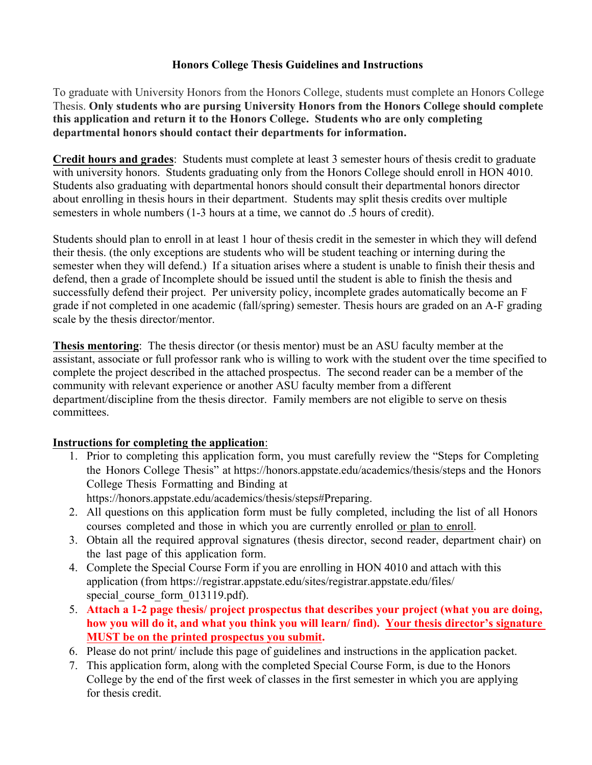## **Honors College Thesis Guidelines and Instructions**

To graduate with University Honors from the Honors College, students must complete an Honors College Thesis. **Only students who are pursing University Honors from the Honors College should complete this application and return it to the Honors College. Students who are only completing departmental honors should contact their departments for information.** 

**Credit hours and grades**: Students must complete at least 3 semester hours of thesis credit to graduate with university honors. Students graduating only from the Honors College should enroll in HON 4010. Students also graduating with departmental honors should consult their departmental honors director about enrolling in thesis hours in their department. Students may split thesis credits over multiple semesters in whole numbers (1-3 hours at a time, we cannot do .5 hours of credit).

Students should plan to enroll in at least 1 hour of thesis credit in the semester in which they will defend their thesis. (the only exceptions are students who will be student teaching or interning during the semester when they will defend.) If a situation arises where a student is unable to finish their thesis and defend, then a grade of Incomplete should be issued until the student is able to finish the thesis and successfully defend their project. Per university policy, incomplete grades automatically become an F grade if not completed in one academic (fall/spring) semester. Thesis hours are graded on an A-F grading scale by the thesis director/mentor.

**Thesis mentoring**: The thesis director (or thesis mentor) must be an ASU faculty member at the assistant, associate or full professor rank who is willing to work with the student over the time specified to complete the project described in the attached prospectus. The second reader can be a member of the community with relevant experience or another ASU faculty member from a different department/discipline from the thesis director. Family members are not eligible to serve on thesis committees.

## **Instructions for completing the application**:

- 1. Prior to completing this application form, you must carefully review the "Steps for Completing the Honors College Thesis" at https://honors.appstate.edu/academics/thesis/steps and the Honors College Thesis Formatting and Binding at https://honors.appstate.edu/academics/thesis/steps#Preparing.
- 2. All questions on this application form must be fully completed, including the list of all Honors courses completed and those in which you are currently enrolled or plan to enroll.
- 3. Obtain all the required approval signatures (thesis director, second reader, department chair) on the last page of this application form.
- 4. Complete the Special Course Form if you are enrolling in HON 4010 and attach with this application (from https://registrar.appstate.edu/sites/registrar.appstate.edu/files/ special\_course\_form\_013119.pdf).
- 5. **Attach a 1-2 page thesis/ project prospectus that describes your project (what you are doing, how you will do it, and what you think you will learn/ find). Your thesis director's signature MUST be on the printed prospectus you submit.**
- 6. Please do not print/ include this page of guidelines and instructions in the application packet.
- 7. This application form, along with the completed Special Course Form, is due to the Honors College by the end of the first week of classes in the first semester in which you are applying for thesis credit.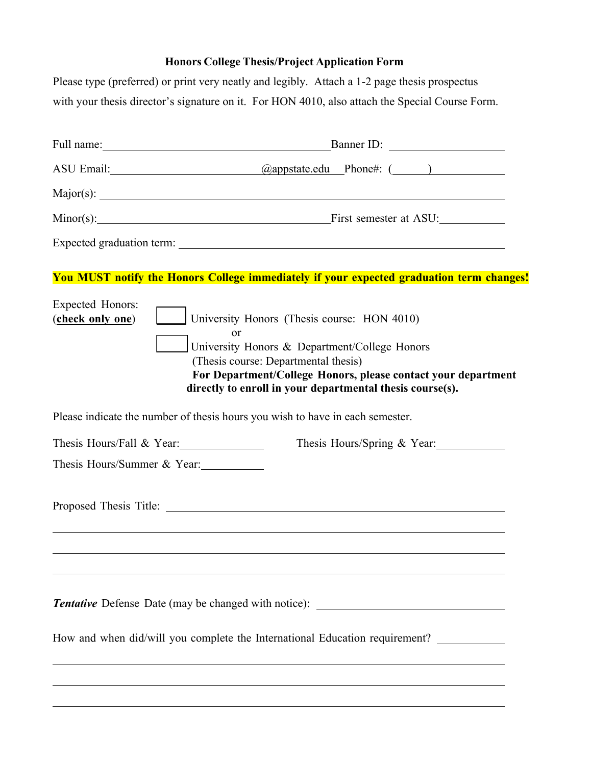# **Honors College Thesis/Project Application Form**

Please type (preferred) or print very neatly and legibly. Attach a 1-2 page thesis prospectus with your thesis director's signature on it. For HON 4010, also attach the Special Course Form.

|                                             | ASU Email: <u>Qappstate.edu</u> Phone#: (1993)                                                                                                                                                                                                                                      |  |  |
|---------------------------------------------|-------------------------------------------------------------------------------------------------------------------------------------------------------------------------------------------------------------------------------------------------------------------------------------|--|--|
|                                             |                                                                                                                                                                                                                                                                                     |  |  |
|                                             | Minor(s): First semester at ASU:                                                                                                                                                                                                                                                    |  |  |
|                                             |                                                                                                                                                                                                                                                                                     |  |  |
|                                             | <b>You MUST notify the Honors College immediately if your expected graduation term changes!</b>                                                                                                                                                                                     |  |  |
| <b>Expected Honors:</b><br>(check only one) | University Honors (Thesis course: HON 4010)<br><sub>or</sub><br>University Honors & Department/College Honors<br>(Thesis course: Departmental thesis)<br>For Department/College Honors, please contact your department<br>directly to enroll in your departmental thesis course(s). |  |  |
|                                             | Please indicate the number of thesis hours you wish to have in each semester.                                                                                                                                                                                                       |  |  |
| Thesis Hours/Fall & Year:                   | Thesis Hours/Spring & Year:                                                                                                                                                                                                                                                         |  |  |
| Thesis Hours/Summer & Year:                 |                                                                                                                                                                                                                                                                                     |  |  |
|                                             |                                                                                                                                                                                                                                                                                     |  |  |
|                                             |                                                                                                                                                                                                                                                                                     |  |  |
|                                             | Tentative Defense Date (may be changed with notice): ____________________________                                                                                                                                                                                                   |  |  |
|                                             | How and when did/will you complete the International Education requirement? __________                                                                                                                                                                                              |  |  |
|                                             |                                                                                                                                                                                                                                                                                     |  |  |
|                                             |                                                                                                                                                                                                                                                                                     |  |  |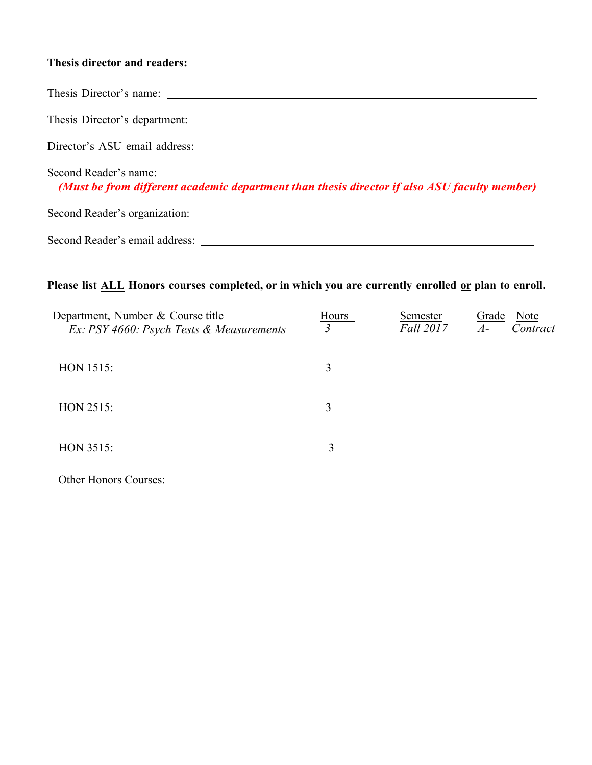## **Thesis director and readers:**

| Second Reader's name:<br>(Must be from different academic department than thesis director if also ASU faculty member) |
|-----------------------------------------------------------------------------------------------------------------------|
| Second Reader's organization:                                                                                         |
| Second Reader's email address:                                                                                        |

# Please list **ALL** Honors courses completed, or in which you are currently enrolled or plan to enroll.

| Department, Number & Course title<br>Ex: PSY 4660: Psych Tests & Measurements | Hours<br>3 | Semester<br>Fall 2017 | Note<br>Grade<br>$A-$<br>Contract |
|-------------------------------------------------------------------------------|------------|-----------------------|-----------------------------------|
| <b>HON 1515:</b>                                                              | 3          |                       |                                   |
| HON 2515:                                                                     | 3          |                       |                                   |
| HON 3515:                                                                     | 3          |                       |                                   |

Other Honors Courses: